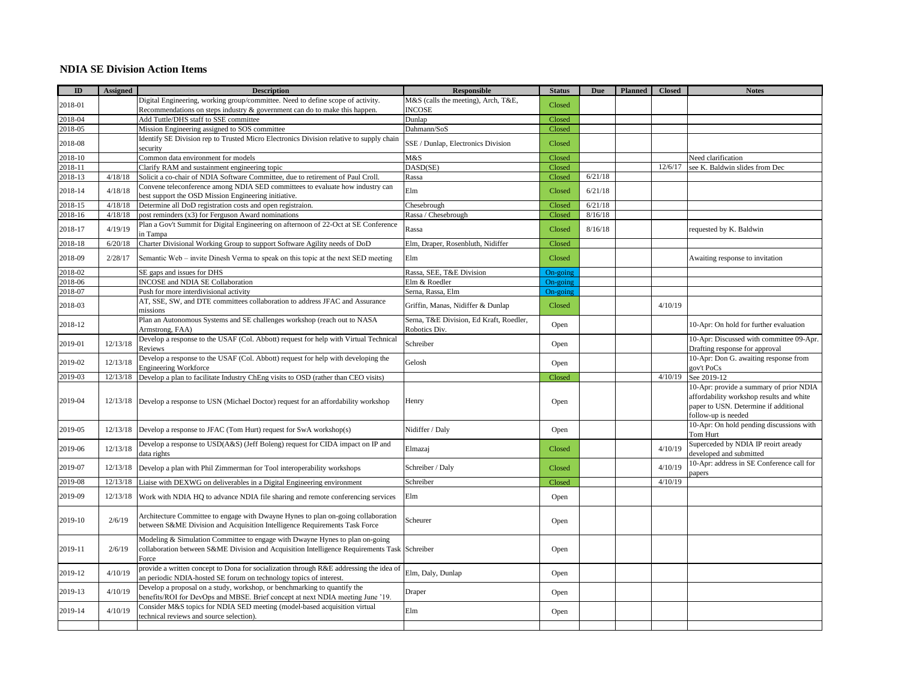## **NDIA SE Division Action Items**

| $\mathbf{ID}$      | <b>Assigned</b> | <b>Description</b>                                                                                                                                                                    | <b>Responsible</b>                                       | <b>Status</b>    | Due     | <b>Planned</b> | <b>Closed</b> | <b>Notes</b>                                                                                             |
|--------------------|-----------------|---------------------------------------------------------------------------------------------------------------------------------------------------------------------------------------|----------------------------------------------------------|------------------|---------|----------------|---------------|----------------------------------------------------------------------------------------------------------|
|                    |                 | Digital Engineering, working group/committee. Need to define scope of activity.                                                                                                       | M&S (calls the meeting), Arch, T&E,                      |                  |         |                |               |                                                                                                          |
| 2018-01            |                 | Recommendations on steps industry $\&$ government can do to make this happen.                                                                                                         | <b>INCOSE</b>                                            | Closed           |         |                |               |                                                                                                          |
| 2018-04            |                 | Add Tuttle/DHS staff to SSE committee                                                                                                                                                 | Dunlap                                                   | Closed           |         |                |               |                                                                                                          |
| 2018-05            |                 | Mission Engineering assigned to SOS committee                                                                                                                                         | Dahmann/SoS                                              | Closed           |         |                |               |                                                                                                          |
| 2018-08            |                 | Identify SE Division rep to Trusted Micro Electronics Division relative to supply chain                                                                                               | SSE / Dunlap, Electronics Division                       | Closed           |         |                |               |                                                                                                          |
|                    |                 | security                                                                                                                                                                              |                                                          |                  |         |                |               |                                                                                                          |
| 2018-10<br>2018-11 |                 | Common data environment for models<br>Clarify RAM and sustainment engineering topic                                                                                                   | M&S<br>DASD(SE)                                          | Closed<br>Closed |         |                | 12/6/17       | Need clarification<br>see K. Baldwin slides from Dec                                                     |
| 2018-13            | 4/18/18         | Solicit a co-chair of NDIA Software Committee, due to retirement of Paul Croll.                                                                                                       | Rassa                                                    | Closed           | 6/21/18 |                |               |                                                                                                          |
|                    |                 |                                                                                                                                                                                       |                                                          |                  |         |                |               |                                                                                                          |
| 2018-14            | 4/18/18         | Convene teleconference among NDIA SED committees to evaluate how industry can<br>best support the OSD Mission Engineering initiative.                                                 | Elm                                                      | Closed           | 6/21/18 |                |               |                                                                                                          |
| 2018-15            | 4/18/18         | Determine all DoD registration costs and open registraion.                                                                                                                            | Chesebrough                                              | Closed           | 6/21/18 |                |               |                                                                                                          |
| 2018-16            | 4/18/18         | post reminders (x3) for Ferguson Award nominations                                                                                                                                    | Rassa / Chesebrough                                      | Closed           | 8/16/18 |                |               |                                                                                                          |
| 2018-17            | 4/19/19         | Plan a Gov't Summit for Digital Engineering on afternoon of 22-Oct at SE Conference<br>in Tampa                                                                                       | Rassa                                                    | Closed           | 8/16/18 |                |               | requested by K. Baldwin                                                                                  |
| 2018-18            | 6/20/18         | Charter Divisional Working Group to support Software Agility needs of DoD                                                                                                             | Elm, Draper, Rosenbluth, Nidiffer                        | Closed           |         |                |               |                                                                                                          |
| 2018-09            | 2/28/17         | Semantic Web – invite Dinesh Verma to speak on this topic at the next SED meeting                                                                                                     | Elm                                                      | Closed           |         |                |               | Awaiting response to invitation                                                                          |
| 2018-02            |                 | SE gaps and issues for DHS                                                                                                                                                            | Rassa, SEE, T&E Division                                 | On-going         |         |                |               |                                                                                                          |
| 2018-06            |                 | <b>INCOSE</b> and NDIA SE Collaboration                                                                                                                                               | Elm & Roedler                                            | On-going         |         |                |               |                                                                                                          |
| 2018-07            |                 | Push for more interdivisional activity                                                                                                                                                | Serna, Rassa, Elm                                        | On-going         |         |                |               |                                                                                                          |
|                    |                 | AT, SSE, SW, and DTE committees collaboration to address JFAC and Assurance                                                                                                           |                                                          |                  |         |                |               |                                                                                                          |
| 2018-03            |                 | missions                                                                                                                                                                              | Griffin, Manas, Nidiffer & Dunlap                        | Closed           |         |                | 4/10/19       |                                                                                                          |
| 2018-12            |                 | Plan an Autonomous Systems and SE challenges workshop (reach out to NASA<br>Armstrong, FAA)                                                                                           | Serna, T&E Division, Ed Kraft, Roedler,<br>Robotics Div. | Open             |         |                |               | 10-Apr: On hold for further evaluation                                                                   |
| 2019-01            | 12/13/18        | Develop a response to the USAF (Col. Abbott) request for help with Virtual Technical<br>Reviews                                                                                       | Schreiber                                                | Open             |         |                |               | 10-Apr: Discussed with committee 09-Apr.<br>Drafting response for approval                               |
| 2019-02            | 12/13/18        | Develop a response to the USAF (Col. Abbott) request for help with developing the<br><b>Engineering Workforce</b>                                                                     | Gelosh                                                   | Open             |         |                |               | 10-Apr: Don G. awaiting response from<br>gov't PoCs                                                      |
| 2019-03            | 12/13/18        | Develop a plan to facilitate Industry ChEng visits to OSD (rather than CEO visits)                                                                                                    |                                                          | Closed           |         |                | 4/10/19       | See 2019-12                                                                                              |
|                    |                 |                                                                                                                                                                                       |                                                          |                  |         |                |               | 10-Apr: provide a summary of prior NDIA                                                                  |
| 2019-04            |                 | 12/13/18 Develop a response to USN (Michael Doctor) request for an affordability workshop                                                                                             | Henry                                                    | Open             |         |                |               | affordability workshop results and white<br>paper to USN. Determine if additional<br>follow-up is needed |
| 2019-05            | 12/13/18        | Develop a response to JFAC (Tom Hurt) request for SwA workshop(s)                                                                                                                     | Nidiffer / Daly                                          | Open             |         |                |               | 10-Apr: On hold pending discussions with<br>Tom Hurt                                                     |
| 2019-06            | 12/13/18        | Develop a response to USD(A&S) (Jeff Boleng) request for CIDA impact on IP and<br>data rights                                                                                         | Elmazaj                                                  | Closed           |         |                | 4/10/19       | Superceded by NDIA IP reoirt aready<br>developed and submitted                                           |
| 2019-07            | 12/13/18        | Develop a plan with Phil Zimmerman for Tool interoperability workshops                                                                                                                | Schreiber / Daly                                         | Closed           |         |                | 4/10/19       | 10-Apr: address in SE Conference call for<br>papers                                                      |
| 2019-08            | 12/13/18        | Liaise with DEXWG on deliverables in a Digital Engineering environment                                                                                                                | Schreiber                                                | Closed           |         |                | 4/10/19       |                                                                                                          |
| 2019-09            | 12/13/18        | Work with NDIA HQ to advance NDIA file sharing and remote conferencing services                                                                                                       | Elm                                                      | Open             |         |                |               |                                                                                                          |
| 2019-10            | 2/6/19          | Architecture Committee to engage with Dwayne Hynes to plan on-going collaboration<br>between S&ME Division and Acquisition Intelligence Requirements Task Force                       | Scheurer                                                 | Open             |         |                |               |                                                                                                          |
| 2019-11            | 2/6/19          | Modeling & Simulation Committee to engage with Dwayne Hynes to plan on-going<br>collaboration between S&ME Division and Acquisition Intelligence Requirements Task Schreiber<br>Force |                                                          | Open             |         |                |               |                                                                                                          |
| 2019-12            | 4/10/19         | provide a written concept to Dona for socialization through R&E addressing the idea of<br>an periodic NDIA-hosted SE forum on technology topics of interest.                          | Elm, Daly, Dunlap                                        | Open             |         |                |               |                                                                                                          |
| 2019-13            | 4/10/19         | Develop a proposal on a study, workshop, or benchmarking to quantify the<br>benefits/ROI for DevOps and MBSE. Brief concept at next NDIA meeting June '19.                            | Draper                                                   | Open             |         |                |               |                                                                                                          |
| 2019-14            | 4/10/19         | Consider M&S topics for NDIA SED meeting (model-based acquisition virtual<br>technical reviews and source selection).                                                                 | Elm                                                      | Open             |         |                |               |                                                                                                          |
|                    |                 |                                                                                                                                                                                       |                                                          |                  |         |                |               |                                                                                                          |